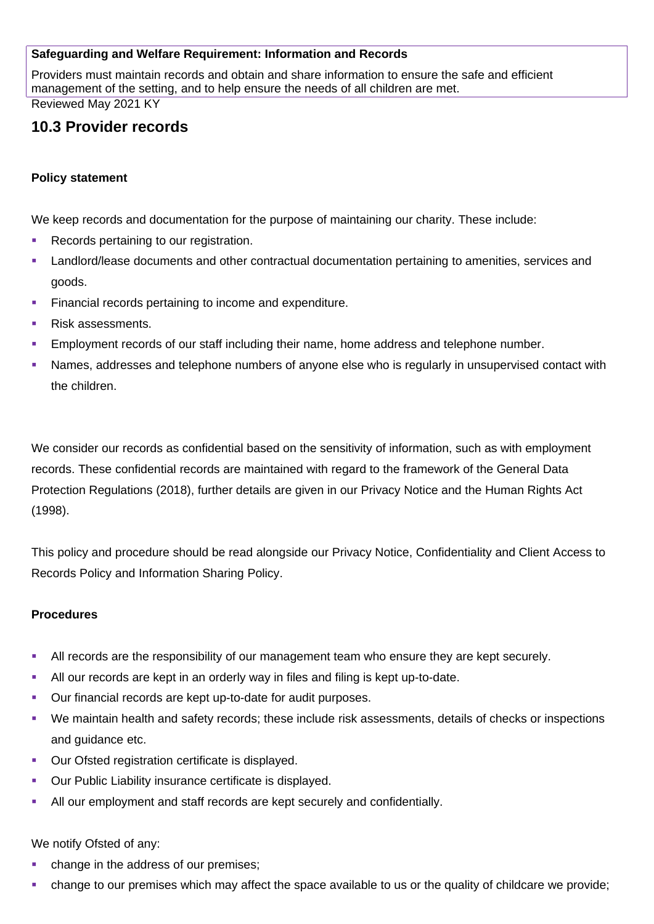#### **Safeguarding and Welfare Requirement: Information and Records**

Providers must maintain records and obtain and share information to ensure the safe and efficient management of the setting, and to help ensure the needs of all children are met.

Reviewed May 2021 KY

# **10.3 Provider records**

#### **Policy statement**

We keep records and documentation for the purpose of maintaining our charity. These include:

- Records pertaining to our registration.
- Landlord/lease documents and other contractual documentation pertaining to amenities, services and goods.
- Financial records pertaining to income and expenditure.
- Risk assessments.
- Employment records of our staff including their name, home address and telephone number.
- Names, addresses and telephone numbers of anyone else who is regularly in unsupervised contact with the children.

We consider our records as confidential based on the sensitivity of information, such as with employment records. These confidential records are maintained with regard to the framework of the General Data Protection Regulations (2018), further details are given in our Privacy Notice and the Human Rights Act (1998).

This policy and procedure should be read alongside our Privacy Notice, Confidentiality and Client Access to Records Policy and Information Sharing Policy.

#### **Procedures**

- All records are the responsibility of our management team who ensure they are kept securely.
- All our records are kept in an orderly way in files and filing is kept up-to-date.
- Our financial records are kept up-to-date for audit purposes.
- We maintain health and safety records; these include risk assessments, details of checks or inspections and guidance etc.
- **Our Ofsted registration certificate is displayed.**
- **Our Public Liability insurance certificate is displayed.**
- All our employment and staff records are kept securely and confidentially.

We notify Ofsted of any:

- change in the address of our premises;
- change to our premises which may affect the space available to us or the quality of childcare we provide;